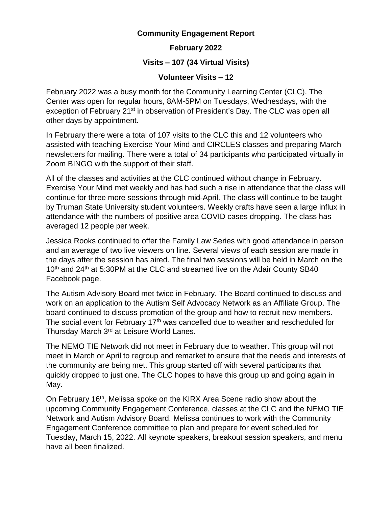## **Community Engagement Report**

**February 2022**

**Visits – 107 (34 Virtual Visits)**

## **Volunteer Visits – 12**

February 2022 was a busy month for the Community Learning Center (CLC). The Center was open for regular hours, 8AM-5PM on Tuesdays, Wednesdays, with the exception of February 21<sup>st</sup> in observation of President's Day. The CLC was open all other days by appointment.

In February there were a total of 107 visits to the CLC this and 12 volunteers who assisted with teaching Exercise Your Mind and CIRCLES classes and preparing March newsletters for mailing. There were a total of 34 participants who participated virtually in Zoom BINGO with the support of their staff.

All of the classes and activities at the CLC continued without change in February. Exercise Your Mind met weekly and has had such a rise in attendance that the class will continue for three more sessions through mid-April. The class will continue to be taught by Truman State University student volunteers. Weekly crafts have seen a large influx in attendance with the numbers of positive area COVID cases dropping. The class has averaged 12 people per week.

Jessica Rooks continued to offer the Family Law Series with good attendance in person and an average of two live viewers on line. Several views of each session are made in the days after the session has aired. The final two sessions will be held in March on the 10<sup>th</sup> and 24<sup>th</sup> at 5:30PM at the CLC and streamed live on the Adair County SB40 Facebook page.

The Autism Advisory Board met twice in February. The Board continued to discuss and work on an application to the Autism Self Advocacy Network as an Affiliate Group. The board continued to discuss promotion of the group and how to recruit new members. The social event for February 17<sup>th</sup> was cancelled due to weather and rescheduled for Thursday March 3<sup>rd</sup> at Leisure World Lanes.

The NEMO TIE Network did not meet in February due to weather. This group will not meet in March or April to regroup and remarket to ensure that the needs and interests of the community are being met. This group started off with several participants that quickly dropped to just one. The CLC hopes to have this group up and going again in May.

On February 16<sup>th</sup>, Melissa spoke on the KIRX Area Scene radio show about the upcoming Community Engagement Conference, classes at the CLC and the NEMO TIE Network and Autism Advisory Board. Melissa continues to work with the Community Engagement Conference committee to plan and prepare for event scheduled for Tuesday, March 15, 2022. All keynote speakers, breakout session speakers, and menu have all been finalized.